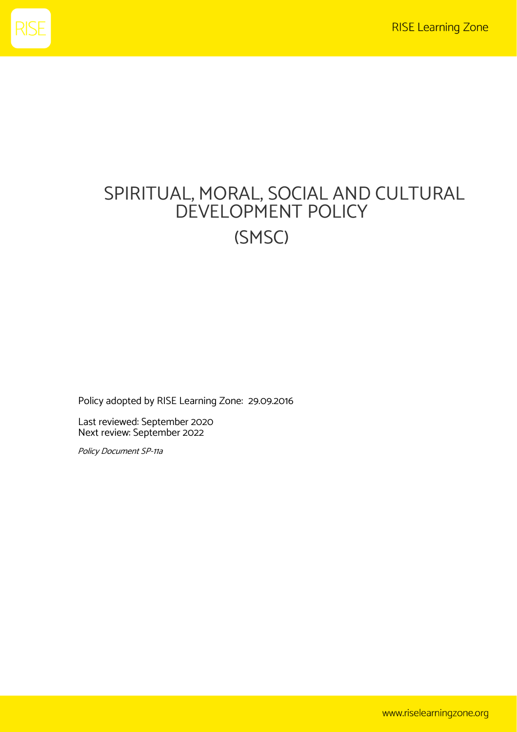

# SPIRITUAL, MORAL, SOCIAL AND CULTURAL DEVELOPMENT POLICY (SMSC)

Policy adopted by RISE Learning Zone: 29.09.2016

Last reviewed: September 2020 Next review: September 2022

Policy Document SP-11a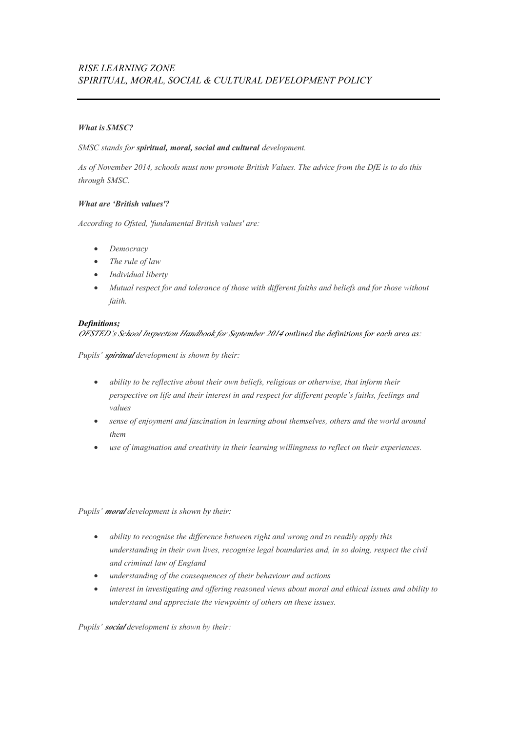# *What is SMSC?*

#### *SMSC stands for spiritual, moral, social and cultural development.*

*As of November 2014, schools must now promote British Values. The advice from the DfE is to do this through SMSC.*

# *What are 'British values'?*

*According to Ofsted, 'fundamental British values' are:*

- *Democracy*
- *The rule of law*
- *Individual liberty*
- *Mutual respect for and tolerance of those with different faiths and beliefs and for those without faith.*

#### *Definitions;*

*OFSTED's School Inspection Handbook for September 2014 outlined the definitions for each area as:*

*Pupils' spiritual development is shown by their:*

- *ability to be reflective about their own beliefs, religious or otherwise, that inform their perspective on life and their interest in and respect for different people's faiths, feelings and values*
- *sense of enjoyment and fascination in learning about themselves, others and the world around them*
- *use of imagination and creativity in their learning willingness to reflect on their experiences.*

*Pupils' moral development is shown by their:*

- *ability to recognise the difference between right and wrong and to readily apply this understanding in their own lives, recognise legal boundaries and, in so doing, respect the civil and criminal law of England*
- *understanding of the consequences of their behaviour and actions*
- *interest in investigating and offering reasoned views about moral and ethical issues and ability to understand and appreciate the viewpoints of others on these issues.*

*Pupils' social development is shown by their:*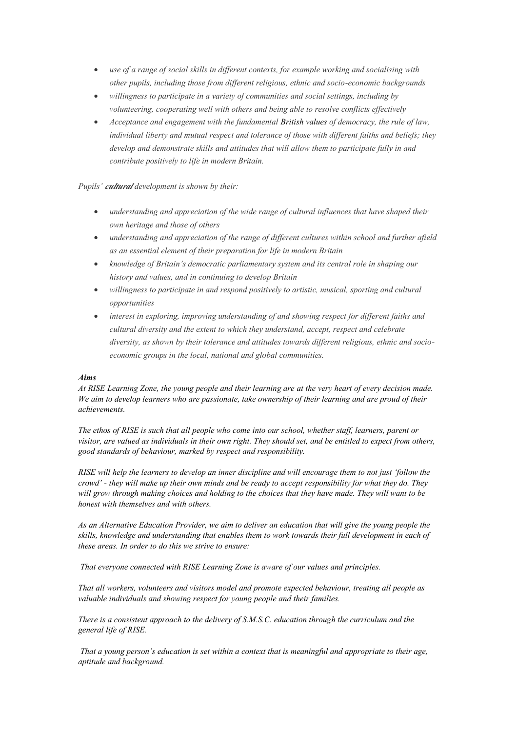- *use of a range of social skills in different contexts, for example working and socialising with other pupils, including those from different religious, ethnic and socio-economic backgrounds*
- *willingness to participate in a variety of communities and social settings, including by volunteering, cooperating well with others and being able to resolve conflicts effectively*
- *Acceptance and engagement with the fundamental [British values](http://www.doingsmsc.org.uk/british-values) of democracy, the rule of law, individual liberty and mutual respect and tolerance of those with different faiths and beliefs; they develop and demonstrate skills and attitudes that will allow them to participate fully in and contribute positively to life in modern Britain.*

*Pupils' cultural development is shown by their:*

- *understanding and appreciation of the wide range of cultural influences that have shaped their own heritage and those of others*
- *understanding and appreciation of the range of different cultures within school and further afield as an essential element of their preparation for life in modern Britain*
- *knowledge of Britain's democratic parliamentary system and its central role in shaping our history and values, and in continuing to develop Britain*
- *willingness to participate in and respond positively to artistic, musical, sporting and cultural opportunities*
- *interest in exploring, improving understanding of and showing respect for different faiths and cultural diversity and the extent to which they understand, accept, respect and celebrate diversity, as shown by their tolerance and attitudes towards different religious, ethnic and socioeconomic groups in the local, national and global communities.*

#### *Aims*

*At RISE Learning Zone, the young people and their learning are at the very heart of every decision made. We aim to develop learners who are passionate, take ownership of their learning and are proud of their achievements.* 

*The ethos of RISE is such that all people who come into our school, whether staff, learners, parent or visitor, are valued as individuals in their own right. They should set, and be entitled to expect from others, good standards of behaviour, marked by respect and responsibility.* 

*RISE will help the learners to develop an inner discipline and will encourage them to not just 'follow the crowd' - they will make up their own minds and be ready to accept responsibility for what they do. They will grow through making choices and holding to the choices that they have made. They will want to be honest with themselves and with others.*

*As an Alternative Education Provider, we aim to deliver an education that will give the young people the skills, knowledge and understanding that enables them to work towards their full development in each of these areas. In order to do this we strive to ensure:* 

*That everyone connected with RISE Learning Zone is aware of our values and principles.* 

*That all workers, volunteers and visitors model and promote expected behaviour, treating all people as valuable individuals and showing respect for young people and their families.* 

*There is a consistent approach to the delivery of S.M.S.C. education through the curriculum and the general life of RISE.*

*That a young person's education is set within a context that is meaningful and appropriate to their age, aptitude and background.*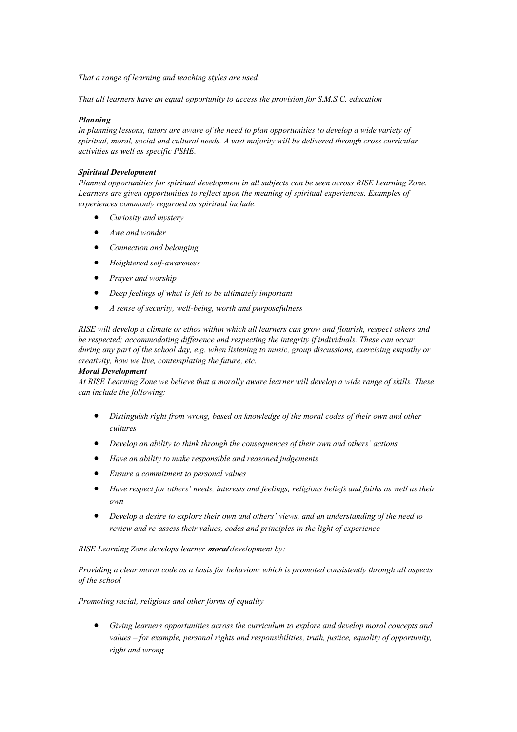*That a range of learning and teaching styles are used.* 

*That all learners have an equal opportunity to access the provision for S.M.S.C. education*

#### *Planning*

*In planning lessons, tutors are aware of the need to plan opportunities to develop a wide variety of spiritual, moral, social and cultural needs. A vast majority will be delivered through cross curricular activities as well as specific PSHE.*

#### *Spiritual Development*

*Planned opportunities for spiritual development in all subjects can be seen across RISE Learning Zone. Learners are given opportunities to reflect upon the meaning of spiritual experiences. Examples of experiences commonly regarded as spiritual include:* 

- *Curiosity and mystery*
- *Awe and wonder*
- *Connection and belonging*
- *Heightened self-awareness*
- *Prayer and worship*
- *Deep feelings of what is felt to be ultimately important*
- *A sense of security, well-being, worth and purposefulness*

*RISE will develop a climate or ethos within which all learners can grow and flourish, respect others and be respected; accommodating difference and respecting the integrity if individuals. These can occur during any part of the school day, e.g. when listening to music, group discussions, exercising empathy or creativity, how we live, contemplating the future, etc.*

#### *Moral Development*

*At RISE Learning Zone we believe that a morally aware learner will develop a wide range of skills. These can include the following:* 

- *Distinguish right from wrong, based on knowledge of the moral codes of their own and other cultures*
- *Develop an ability to think through the consequences of their own and others' actions*
- *Have an ability to make responsible and reasoned judgements*
- *Ensure a commitment to personal values*
- *Have respect for others' needs, interests and feelings, religious beliefs and faiths as well as their own*
- *Develop a desire to explore their own and others' views, and an understanding of the need to review and re-assess their values, codes and principles in the light of experience*

*RISE Learning Zone develops learner moral development by:* 

*Providing a clear moral code as a basis for behaviour which is promoted consistently through all aspects of the school*

#### *Promoting racial, religious and other forms of equality*

• *Giving learners opportunities across the curriculum to explore and develop moral concepts and values – for example, personal rights and responsibilities, truth, justice, equality of opportunity, right and wrong*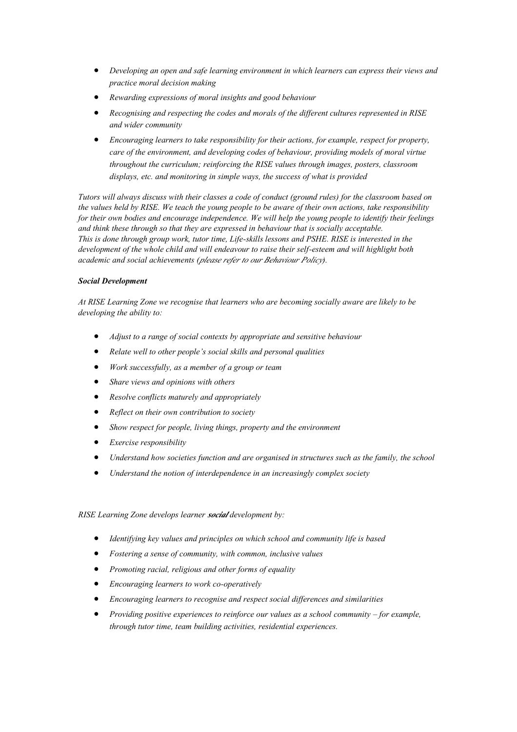- *Developing an open and safe learning environment in which learners can express their views and practice moral decision making*
- *Rewarding expressions of moral insights and good behaviour*
- *Recognising and respecting the codes and morals of the different cultures represented in RISE and wider community*
- *Encouraging learners to take responsibility for their actions, for example, respect for property, care of the environment, and developing codes of behaviour, providing models of moral virtue throughout the curriculum; reinforcing the RISE values through images, posters, classroom displays, etc. and monitoring in simple ways, the success of what is provided*

*Tutors will always discuss with their classes a code of conduct (ground rules) for the classroom based on the values held by RISE. We teach the young people to be aware of their own actions, take responsibility for their own bodies and encourage independence. We will help the young people to identify their feelings and think these through so that they are expressed in behaviour that is socially acceptable. This is done through group work, tutor time, Life-skills lessons and PSHE. RISE is interested in the development of the whole child and will endeavour to raise their self-esteem and will highlight both academic and social achievements (please refer to our Behaviour Policy).*

# *Social Development*

*At RISE Learning Zone we recognise that learners who are becoming socially aware are likely to be developing the ability to:* 

- *Adjust to a range of social contexts by appropriate and sensitive behaviour*
- *Relate well to other people's social skills and personal qualities*
- *Work successfully, as a member of a group or team*
- *Share views and opinions with others*
- *Resolve conflicts maturely and appropriately*
- *Reflect on their own contribution to society*
- *Show respect for people, living things, property and the environment*
- *Exercise responsibility*
- *Understand how societies function and are organised in structures such as the family, the school*
- *Understand the notion of interdependence in an increasingly complex society*

#### *RISE Learning Zone develops learner social development by:*

- *Identifying key values and principles on which school and community life is based*
- *Fostering a sense of community, with common, inclusive values*
- *Promoting racial, religious and other forms of equality*
- *Encouraging learners to work co-operatively*
- *Encouraging learners to recognise and respect social differences and similarities*
- *Providing positive experiences to reinforce our values as a school community for example, through tutor time, team building activities, residential experiences.*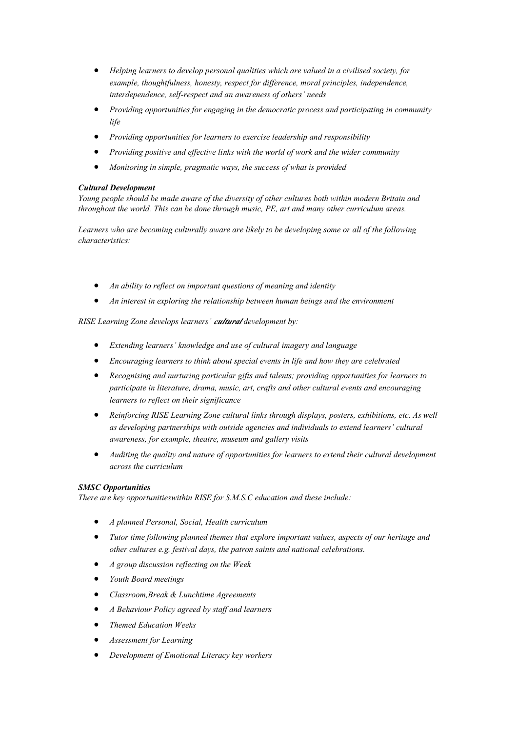- *Helping learners to develop personal qualities which are valued in a civilised society, for example, thoughtfulness, honesty, respect for difference, moral principles, independence, interdependence, self-respect and an awareness of others' needs*
- *Providing opportunities for engaging in the democratic process and participating in community life*
- *Providing opportunities for learners to exercise leadership and responsibility*
- *Providing positive and effective links with the world of work and the wider community*
- *Monitoring in simple, pragmatic ways, the success of what is provided*

# *Cultural Development*

*Young people should be made aware of the diversity of other cultures both within modern Britain and throughout the world. This can be done through music, PE, art and many other curriculum areas.*

*Learners who are becoming culturally aware are likely to be developing some or all of the following characteristics:* 

- *An ability to reflect on important questions of meaning and identity*
- *An interest in exploring the relationship between human beings and the environment*

*RISE Learning Zone develops learners' cultural development by:* 

- *Extending learners' knowledge and use of cultural imagery and language*
- *Encouraging learners to think about special events in life and how they are celebrated*
- *Recognising and nurturing particular gifts and talents; providing opportunities for learners to participate in literature, drama, music, art, crafts and other cultural events and encouraging learners to reflect on their significance*
- *Reinforcing RISE Learning Zone cultural links through displays, posters, exhibitions, etc. As well as developing partnerships with outside agencies and individuals to extend learners' cultural awareness, for example, theatre, museum and gallery visits*
- *Auditing the quality and nature of opportunities for learners to extend their cultural development across the curriculum*

#### *SMSC Opportunities*

*There are key opportunitieswithin RISE for S.M.S.C education and these include:* 

- *A planned Personal, Social, Health curriculum*
- *Tutor time following planned themes that explore important values, aspects of our heritage and other cultures e.g. festival days, the patron saints and national celebrations.*
- *A group discussion reflecting on the Week*
- *Youth Board meetings*
- *Classroom,Break & Lunchtime Agreements*
- *A Behaviour Policy agreed by staff and learners*
- *Themed Education Weeks*
- *Assessment for Learning*
- *Development of Emotional Literacy key workers*